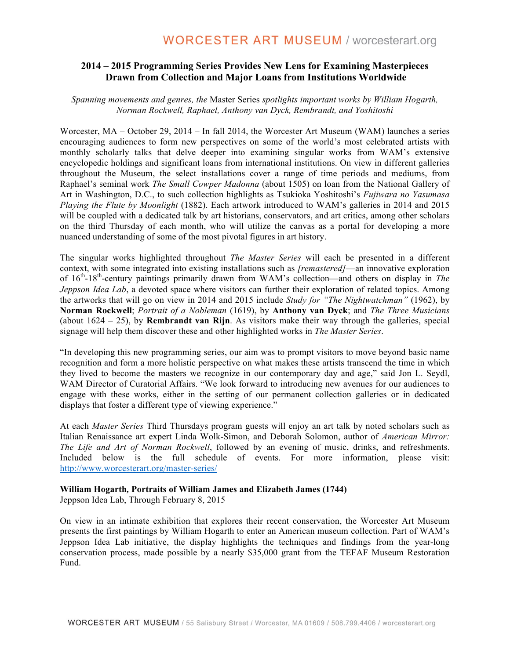# **2014 – 2015 Programming Series Provides New Lens for Examining Masterpieces Drawn from Collection and Major Loans from Institutions Worldwide**

# *Spanning movements and genres, the* Master Series *spotlights important works by William Hogarth, Norman Rockwell, Raphael, Anthony van Dyck, Rembrandt, and Yoshitoshi*

Worcester, MA – October 29, 2014 – In fall 2014, the Worcester Art Museum (WAM) launches a series encouraging audiences to form new perspectives on some of the world's most celebrated artists with monthly scholarly talks that delve deeper into examining singular works from WAM's extensive encyclopedic holdings and significant loans from international institutions. On view in different galleries throughout the Museum, the select installations cover a range of time periods and mediums, from Raphael's seminal work *The Small Cowper Madonna* (about 1505) on loan from the National Gallery of Art in Washington, D.C., to such collection highlights as Tsukioka Yoshitoshi's *Fujiwara no Yasumasa Playing the Flute by Moonlight* (1882). Each artwork introduced to WAM's galleries in 2014 and 2015 will be coupled with a dedicated talk by art historians, conservators, and art critics, among other scholars on the third Thursday of each month, who will utilize the canvas as a portal for developing a more nuanced understanding of some of the most pivotal figures in art history.

The singular works highlighted throughout *The Master Series* will each be presented in a different context, with some integrated into existing installations such as *[remastered]*—an innovative exploration of 16th-18th-century paintings primarily drawn from WAM's collection—and others on display in *The Jeppson Idea Lab*, a devoted space where visitors can further their exploration of related topics. Among the artworks that will go on view in 2014 and 2015 include *Study for "The Nightwatchman"* (1962), by **Norman Rockwell**; *Portrait of a Nobleman* (1619), by **Anthony van Dyck**; and *The Three Musicians*  (about 1624 – 25), by **Rembrandt van Rijn**. As visitors make their way through the galleries, special signage will help them discover these and other highlighted works in *The Master Series*.

"In developing this new programming series, our aim was to prompt visitors to move beyond basic name recognition and form a more holistic perspective on what makes these artists transcend the time in which they lived to become the masters we recognize in our contemporary day and age," said Jon L. Seydl, WAM Director of Curatorial Affairs. "We look forward to introducing new avenues for our audiences to engage with these works, either in the setting of our permanent collection galleries or in dedicated displays that foster a different type of viewing experience."

At each *Master Series* Third Thursdays program guests will enjoy an art talk by noted scholars such as Italian Renaissance art expert Linda Wolk-Simon, and Deborah Solomon, author of *American Mirror: The Life and Art of Norman Rockwell*, followed by an evening of music, drinks, and refreshments. Included below is the full schedule of events. For more information, please visit: http://www.worcesterart.org/master-series/

#### **William Hogarth***,* **Portraits of William James and Elizabeth James (1744)**

Jeppson Idea Lab, Through February 8, 2015

On view in an intimate exhibition that explores their recent conservation, the Worcester Art Museum presents the first paintings by William Hogarth to enter an American museum collection. Part of WAM's Jeppson Idea Lab initiative, the display highlights the techniques and findings from the year-long conservation process, made possible by a nearly \$35,000 grant from the TEFAF Museum Restoration Fund.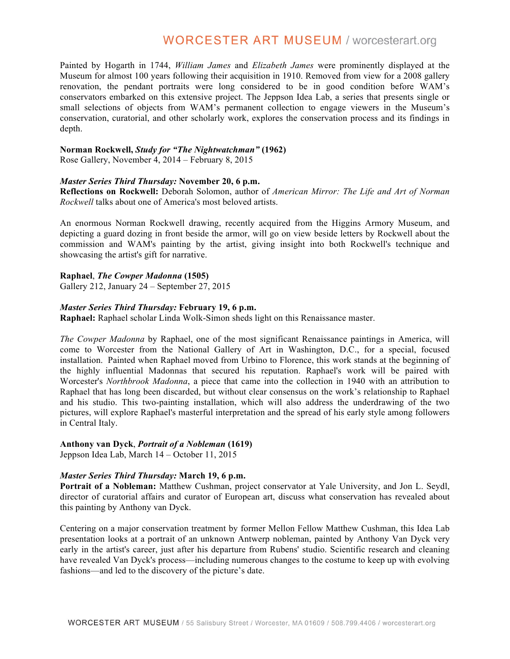# **WORCESTER ART MUSEUM / worcesterart.org**

Painted by Hogarth in 1744, *William James* and *Elizabeth James* were prominently displayed at the Museum for almost 100 years following their acquisition in 1910. Removed from view for a 2008 gallery renovation, the pendant portraits were long considered to be in good condition before WAM's conservators embarked on this extensive project. The Jeppson Idea Lab, a series that presents single or small selections of objects from WAM's permanent collection to engage viewers in the Museum's conservation, curatorial, and other scholarly work, explores the conservation process and its findings in depth.

# **Norman Rockwell,** *Study for "The Nightwatchman"* **(1962)**

Rose Gallery, November 4, 2014 – February 8, 2015

# *Master Series Third Thursday:* **November 20, 6 p.m.**

**Reflections on Rockwell:** Deborah Solomon, author of *American Mirror: The Life and Art of Norman Rockwell* talks about one of America's most beloved artists.

An enormous Norman Rockwell drawing, recently acquired from the Higgins Armory Museum, and depicting a guard dozing in front beside the armor, will go on view beside letters by Rockwell about the commission and WAM's painting by the artist, giving insight into both Rockwell's technique and showcasing the artist's gift for narrative.

# **Raphael**, *The Cowper Madonna* **(1505)**

Gallery 212, January 24 – September 27, 2015

# *Master Series Third Thursday:* **February 19, 6 p.m.**

**Raphael:** Raphael scholar Linda Wolk-Simon sheds light on this Renaissance master.

*The Cowper Madonna* by Raphael, one of the most significant Renaissance paintings in America, will come to Worcester from the National Gallery of Art in Washington, D.C., for a special, focused installation. Painted when Raphael moved from Urbino to Florence, this work stands at the beginning of the highly influential Madonnas that secured his reputation. Raphael's work will be paired with Worcester's *Northbrook Madonna*, a piece that came into the collection in 1940 with an attribution to Raphael that has long been discarded, but without clear consensus on the work's relationship to Raphael and his studio. This two-painting installation, which will also address the underdrawing of the two pictures, will explore Raphael's masterful interpretation and the spread of his early style among followers in Central Italy.

# **Anthony van Dyck**, *Portrait of a Nobleman* **(1619)**

Jeppson Idea Lab, March 14 – October 11, 2015

# *Master Series Third Thursday:* **March 19, 6 p.m.**

**Portrait of a Nobleman:** Matthew Cushman, project conservator at Yale University, and Jon L. Seydl, director of curatorial affairs and curator of European art, discuss what conservation has revealed about this painting by Anthony van Dyck.

Centering on a major conservation treatment by former Mellon Fellow Matthew Cushman, this Idea Lab presentation looks at a portrait of an unknown Antwerp nobleman, painted by Anthony Van Dyck very early in the artist's career, just after his departure from Rubens' studio. Scientific research and cleaning have revealed Van Dyck's process—including numerous changes to the costume to keep up with evolving fashions—and led to the discovery of the picture's date.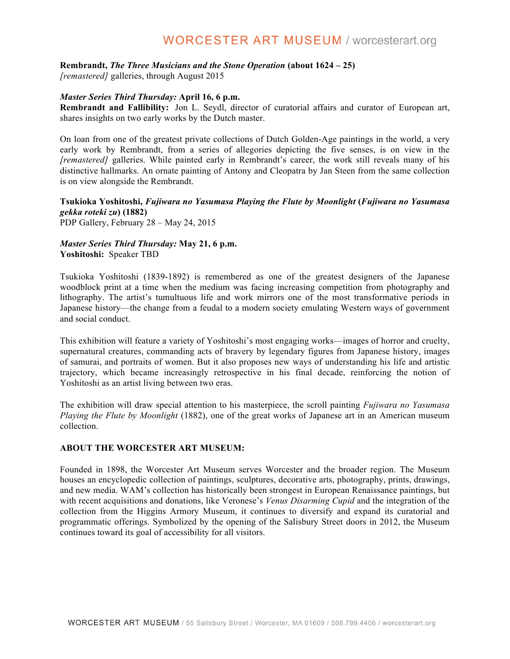# **WORCESTER ART MUSEUM / worcesterart.org**

#### **Rembrandt,** *The Three Musicians and the Stone Operation* **(about 1624 – 25)**

*[remastered]* galleries, through August 2015

# *Master Series Third Thursday:* **April 16, 6 p.m.**

**Rembrandt and Fallibility:** Jon L. Seydl, director of curatorial affairs and curator of European art, shares insights on two early works by the Dutch master.

On loan from one of the greatest private collections of Dutch Golden-Age paintings in the world, a very early work by Rembrandt, from a series of allegories depicting the five senses, is on view in the *[remastered]* galleries. While painted early in Rembrandt's career, the work still reveals many of his distinctive hallmarks. An ornate painting of Antony and Cleopatra by Jan Steen from the same collection is on view alongside the Rembrandt.

# **Tsukioka Yoshitoshi,** *Fujiwara no Yasumasa Playing the Flute by Moonlight* **(***Fujiwara no Yasumasa gekka roteki zu***) (1882)**

PDP Gallery, February 28 – May 24, 2015

# *Master Series Third Thursday:* **May 21, 6 p.m. Yoshitoshi:** Speaker TBD

Tsukioka Yoshitoshi (1839-1892) is remembered as one of the greatest designers of the Japanese woodblock print at a time when the medium was facing increasing competition from photography and lithography. The artist's tumultuous life and work mirrors one of the most transformative periods in Japanese history—the change from a feudal to a modern society emulating Western ways of government and social conduct.

This exhibition will feature a variety of Yoshitoshi's most engaging works—images of horror and cruelty, supernatural creatures, commanding acts of bravery by legendary figures from Japanese history, images of samurai, and portraits of women. But it also proposes new ways of understanding his life and artistic trajectory, which became increasingly retrospective in his final decade, reinforcing the notion of Yoshitoshi as an artist living between two eras.

The exhibition will draw special attention to his masterpiece, the scroll painting *Fujiwara no Yasumasa Playing the Flute by Moonlight* (1882), one of the great works of Japanese art in an American museum collection.

# **ABOUT THE WORCESTER ART MUSEUM:**

Founded in 1898, the Worcester Art Museum serves Worcester and the broader region. The Museum houses an encyclopedic collection of paintings, sculptures, decorative arts, photography, prints, drawings, and new media. WAM's collection has historically been strongest in European Renaissance paintings, but with recent acquisitions and donations, like Veronese's *Venus Disarming Cupid* and the integration of the collection from the Higgins Armory Museum, it continues to diversify and expand its curatorial and programmatic offerings. Symbolized by the opening of the Salisbury Street doors in 2012, the Museum continues toward its goal of accessibility for all visitors.